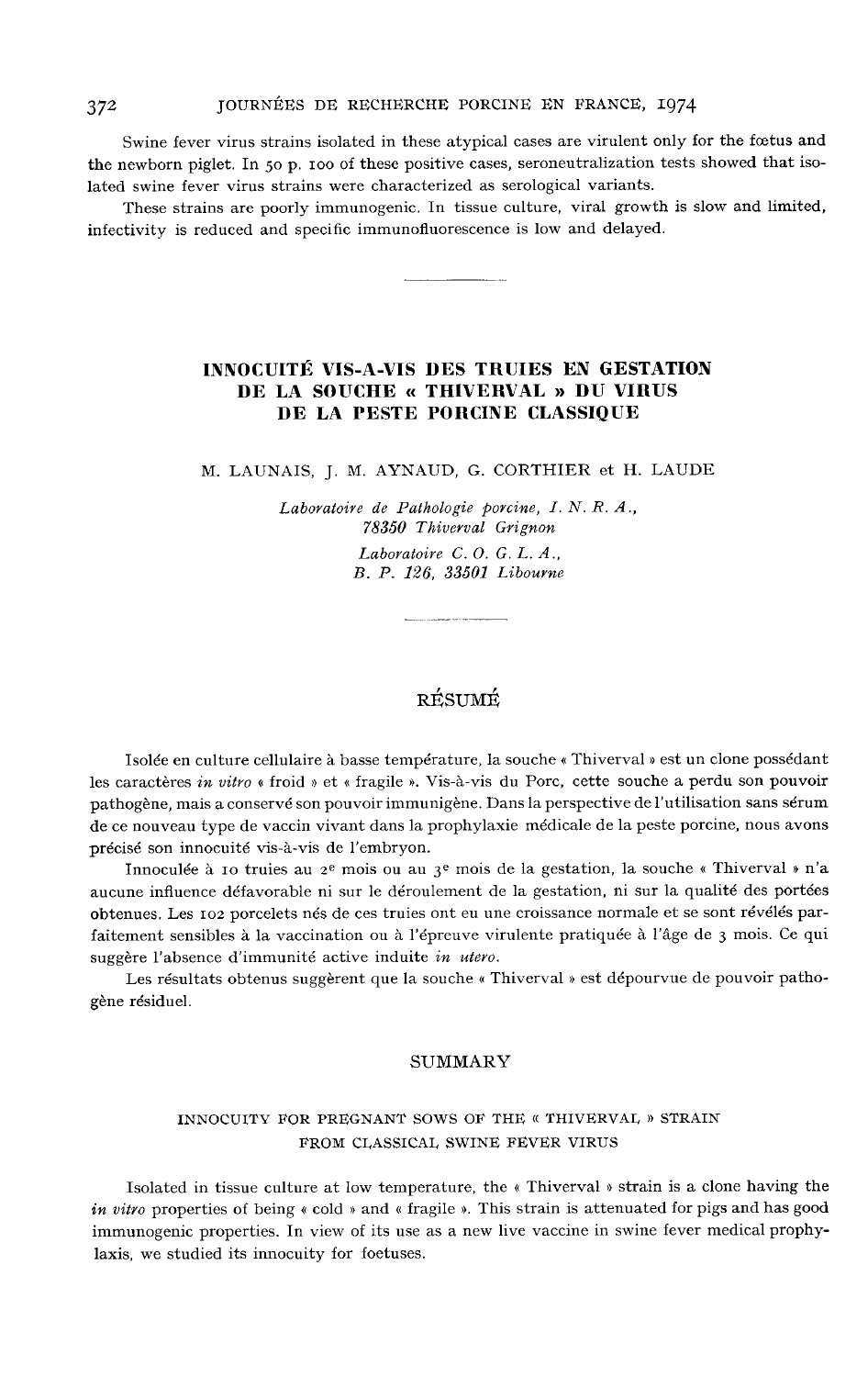Swine fever virus strains isolated in these atypical cases are virulent only for the foetus and the newborn piglet. In 50 p. ioo of these positive cases, seroneutralization tests showed that isolated swine fever virus strains were characterized as serological variants.

These strains are poorly immunogenic. In tissue culture, viral growth is slow and limited, infectivity is reduced and specific immunofluorescence is low and delayed.

## INNOCUITÉ VIS-A-VIS DES TRUIES EN GESTATION DE LA SOUCHE « THIVERVAL » DU VIRUS DE LA PESTE PORCINE CLASSIQUE

M. LAUNAIS, J. M. AYNAUD, G. CORTHIER et H. LAUDE

Laboratoire de Pathologie porcine, I. N. R. A., %8350 Thivevval Grignon Laboratoire C. O. G. L. A.,

B. P. 126, 33501 Libourne

# RÉSUMÉ

Isolée en culture cellulaire à basse température, la souche « Thiverval » est un clone possédant les caractères in vitro « froid » et « fragile ». Vis-à-vis du Porc, cette souche a perdu son pouvoir pathogène, mais a conservé son pouvoir immunigène. Dans la perspective de l'utilisation sans sérum de ce nouveau type de vaccin vivant dans la prophylaxie médicale de la peste porcine, nous avons précisé son innocuité vis-à-vis de l'embryon.

Innoculée à 10 truies au 2<sup>e</sup> mois ou au 3<sup>e</sup> mois de la gestation, la souche « Thiverval » n'a aucune influence défavorable ni sur le déroulement de la gestation, ni sur la qualité des portées obtenues. Les io2 porcelets nés de ces truies ont eu une croissance normale et se sont révélés parfaitement sensibles à la vaccination ou à l'épreuve virulente pratiquée à l'âge de 3 mois. Ce qui suggère l'absence d'immunité active induite in utero.

Les résultats obtenus suggèrent que la souche « Thiverval » est dépourvue de pouvoir pathogène résiduel.

#### SUMMARY

## INNOCUITY FOR PREGNANT SOWS OF THE « THIVERVAI, » STRAIN FROM CLASSICAL SWINE FEVER VIRUS

Isolated in tissue culture at low temperature, the « Thiverval » strain is a clone having the in vitro properties of being  $\kappa$  cold  $\kappa$  and  $\kappa$  fragile  $\kappa$ . This strain is attenuated for pigs and has good immunogenic properties. In view of its use as a new live vaccine in swine fever medical prophylaxis, we studied its innocuity for foetuses.

372